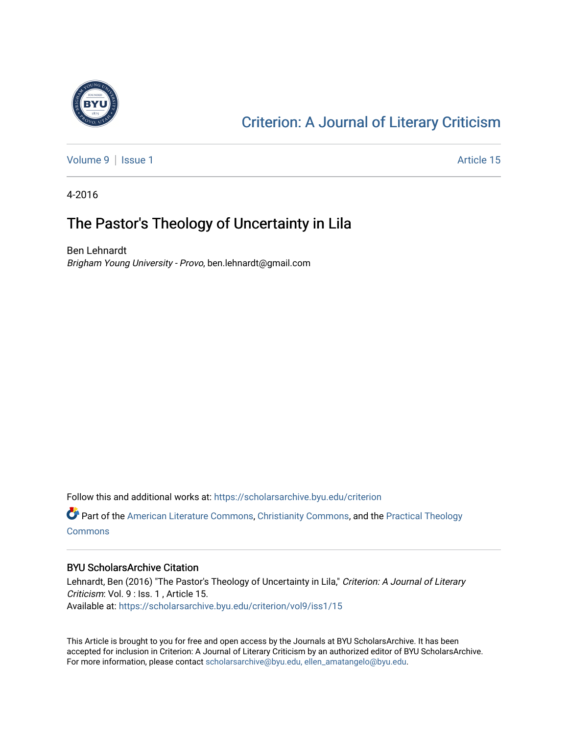

## [Criterion: A Journal of Literary Criticism](https://scholarsarchive.byu.edu/criterion)

[Volume 9](https://scholarsarchive.byu.edu/criterion/vol9) | [Issue 1](https://scholarsarchive.byu.edu/criterion/vol9/iss1) Article 15

4-2016

### The Pastor's Theology of Uncertainty in Lila

Ben Lehnardt Brigham Young University - Provo, ben.lehnardt@gmail.com

Follow this and additional works at: [https://scholarsarchive.byu.edu/criterion](https://scholarsarchive.byu.edu/criterion?utm_source=scholarsarchive.byu.edu%2Fcriterion%2Fvol9%2Fiss1%2F15&utm_medium=PDF&utm_campaign=PDFCoverPages) 

Part of the [American Literature Commons](http://network.bepress.com/hgg/discipline/441?utm_source=scholarsarchive.byu.edu%2Fcriterion%2Fvol9%2Fiss1%2F15&utm_medium=PDF&utm_campaign=PDFCoverPages), [Christianity Commons](http://network.bepress.com/hgg/discipline/1181?utm_source=scholarsarchive.byu.edu%2Fcriterion%2Fvol9%2Fiss1%2F15&utm_medium=PDF&utm_campaign=PDFCoverPages), and the [Practical Theology](http://network.bepress.com/hgg/discipline/1186?utm_source=scholarsarchive.byu.edu%2Fcriterion%2Fvol9%2Fiss1%2F15&utm_medium=PDF&utm_campaign=PDFCoverPages)  **[Commons](http://network.bepress.com/hgg/discipline/1186?utm_source=scholarsarchive.byu.edu%2Fcriterion%2Fvol9%2Fiss1%2F15&utm_medium=PDF&utm_campaign=PDFCoverPages)** 

#### BYU ScholarsArchive Citation

Lehnardt, Ben (2016) "The Pastor's Theology of Uncertainty in Lila," Criterion: A Journal of Literary Criticism: Vol. 9 : Iss. 1 , Article 15. Available at: [https://scholarsarchive.byu.edu/criterion/vol9/iss1/15](https://scholarsarchive.byu.edu/criterion/vol9/iss1/15?utm_source=scholarsarchive.byu.edu%2Fcriterion%2Fvol9%2Fiss1%2F15&utm_medium=PDF&utm_campaign=PDFCoverPages)

This Article is brought to you for free and open access by the Journals at BYU ScholarsArchive. It has been accepted for inclusion in Criterion: A Journal of Literary Criticism by an authorized editor of BYU ScholarsArchive. For more information, please contact [scholarsarchive@byu.edu, ellen\\_amatangelo@byu.edu](mailto:scholarsarchive@byu.edu,%20ellen_amatangelo@byu.edu).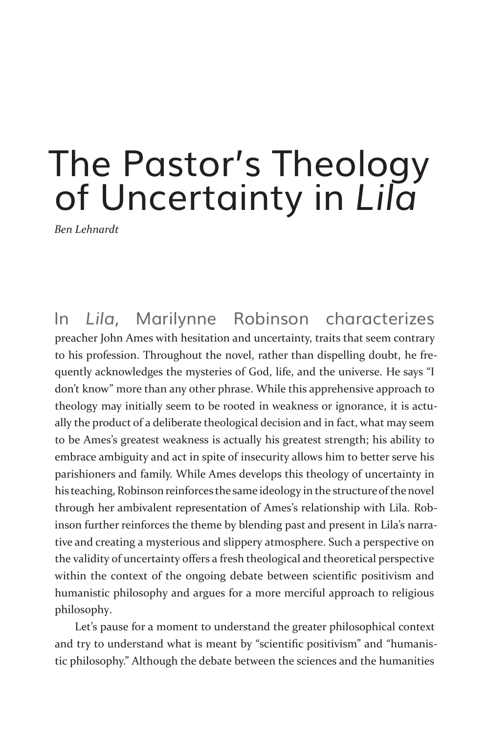# The Pastor's Theology of Uncertainty in *Lila*

*Ben Lehnardt*

In *Lila*, Marilynne Robinson characterizes preacher John Ames with hesitation and uncertainty, traits that seem contrary to his profession. Throughout the novel, rather than dispelling doubt, he frequently acknowledges the mysteries of God, life, and the universe. He says "I don't know" more than any other phrase. While this apprehensive approach to theology may initially seem to be rooted in weakness or ignorance, it is actually the product of a deliberate theological decision and in fact, what may seem to be Ames's greatest weakness is actually his greatest strength; his ability to embrace ambiguity and act in spite of insecurity allows him to better serve his parishioners and family. While Ames develops this theology of uncertainty in his teaching, Robinson reinforces the same ideology in the structure of the novel through her ambivalent representation of Ames's relationship with Lila. Robinson further reinforces the theme by blending past and present in Lila's narrative and creating a mysterious and slippery atmosphere. Such a perspective on the validity of uncertainty offers a fresh theological and theoretical perspective within the context of the ongoing debate between scientific positivism and humanistic philosophy and argues for a more merciful approach to religious philosophy.

Let's pause for a moment to understand the greater philosophical context and try to understand what is meant by "scientific positivism" and "humanistic philosophy." Although the debate between the sciences and the humanities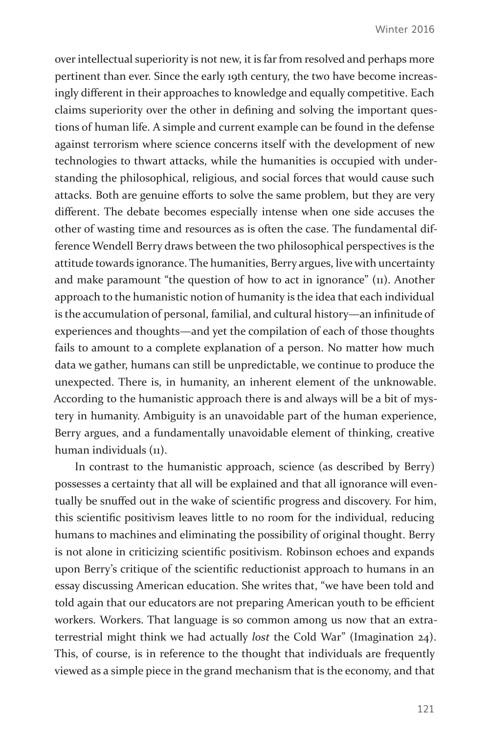over intellectual superiority is not new, it is far from resolved and perhaps more pertinent than ever. Since the early 19th century, the two have become increasingly different in their approaches to knowledge and equally competitive. Each claims superiority over the other in defining and solving the important questions of human life. A simple and current example can be found in the defense against terrorism where science concerns itself with the development of new technologies to thwart attacks, while the humanities is occupied with understanding the philosophical, religious, and social forces that would cause such attacks. Both are genuine efforts to solve the same problem, but they are very different. The debate becomes especially intense when one side accuses the other of wasting time and resources as is often the case. The fundamental difference Wendell Berry draws between the two philosophical perspectives is the attitude towards ignorance. The humanities, Berry argues, live with uncertainty and make paramount "the question of how to act in ignorance" (11). Another approach to the humanistic notion of humanity is the idea that each individual is the accumulation of personal, familial, and cultural history—an infinitude of experiences and thoughts—and yet the compilation of each of those thoughts fails to amount to a complete explanation of a person. No matter how much data we gather, humans can still be unpredictable, we continue to produce the unexpected. There is, in humanity, an inherent element of the unknowable. According to the humanistic approach there is and always will be a bit of mystery in humanity. Ambiguity is an unavoidable part of the human experience, Berry argues, and a fundamentally unavoidable element of thinking, creative human individuals (11).

In contrast to the humanistic approach, science (as described by Berry) possesses a certainty that all will be explained and that all ignorance will eventually be snuffed out in the wake of scientific progress and discovery. For him, this scientific positivism leaves little to no room for the individual, reducing humans to machines and eliminating the possibility of original thought. Berry is not alone in criticizing scientific positivism. Robinson echoes and expands upon Berry's critique of the scientific reductionist approach to humans in an essay discussing American education. She writes that, "we have been told and told again that our educators are not preparing American youth to be efficient workers. Workers. That language is so common among us now that an extraterrestrial might think we had actually *lost* the Cold War" (Imagination 24). This, of course, is in reference to the thought that individuals are frequently viewed as a simple piece in the grand mechanism that is the economy, and that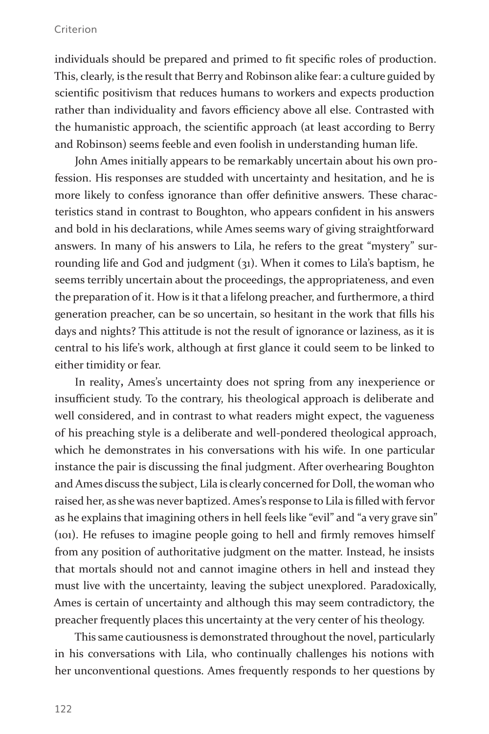#### Criterion

individuals should be prepared and primed to fit specific roles of production. This, clearly, is the result that Berry and Robinson alike fear: a culture guided by scientific positivism that reduces humans to workers and expects production rather than individuality and favors efficiency above all else. Contrasted with the humanistic approach, the scientific approach (at least according to Berry and Robinson) seems feeble and even foolish in understanding human life.

John Ames initially appears to be remarkably uncertain about his own profession. His responses are studded with uncertainty and hesitation, and he is more likely to confess ignorance than offer definitive answers. These characteristics stand in contrast to Boughton, who appears confident in his answers and bold in his declarations, while Ames seems wary of giving straightforward answers. In many of his answers to Lila, he refers to the great "mystery" surrounding life and God and judgment (31). When it comes to Lila's baptism, he seems terribly uncertain about the proceedings, the appropriateness, and even the preparation of it. How is it that a lifelong preacher, and furthermore, a third generation preacher, can be so uncertain, so hesitant in the work that fills his days and nights? This attitude is not the result of ignorance or laziness, as it is central to his life's work, although at first glance it could seem to be linked to either timidity or fear.

In reality**,** Ames's uncertainty does not spring from any inexperience or insufficient study. To the contrary, his theological approach is deliberate and well considered, and in contrast to what readers might expect, the vagueness of his preaching style is a deliberate and well-pondered theological approach, which he demonstrates in his conversations with his wife. In one particular instance the pair is discussing the final judgment. After overhearing Boughton and Ames discuss the subject, Lila is clearly concerned for Doll, the woman who raised her, as she was never baptized. Ames's response to Lila is filled with fervor as he explains that imagining others in hell feels like "evil" and "a very grave sin" (101). He refuses to imagine people going to hell and firmly removes himself from any position of authoritative judgment on the matter. Instead, he insists that mortals should not and cannot imagine others in hell and instead they must live with the uncertainty, leaving the subject unexplored. Paradoxically, Ames is certain of uncertainty and although this may seem contradictory, the preacher frequently places this uncertainty at the very center of his theology.

This same cautiousness is demonstrated throughout the novel, particularly in his conversations with Lila, who continually challenges his notions with her unconventional questions. Ames frequently responds to her questions by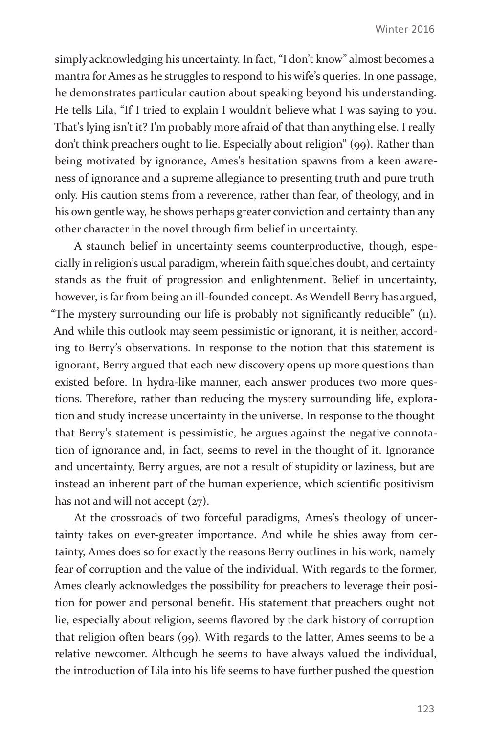simply acknowledging his uncertainty. In fact, "I don't know" almost becomes a mantra for Ames as he struggles to respond to his wife's queries. In one passage, he demonstrates particular caution about speaking beyond his understanding. He tells Lila, "If I tried to explain I wouldn't believe what I was saying to you. That's lying isn't it? I'm probably more afraid of that than anything else. I really don't think preachers ought to lie. Especially about religion" (99). Rather than being motivated by ignorance, Ames's hesitation spawns from a keen awareness of ignorance and a supreme allegiance to presenting truth and pure truth only. His caution stems from a reverence, rather than fear, of theology, and in his own gentle way, he shows perhaps greater conviction and certainty than any other character in the novel through firm belief in uncertainty.

A staunch belief in uncertainty seems counterproductive, though, especially in religion's usual paradigm, wherein faith squelches doubt, and certainty stands as the fruit of progression and enlightenment. Belief in uncertainty, however, is far from being an ill-founded concept. As Wendell Berry has argued, "The mystery surrounding our life is probably not significantly reducible" (11). And while this outlook may seem pessimistic or ignorant, it is neither, according to Berry's observations. In response to the notion that this statement is ignorant, Berry argued that each new discovery opens up more questions than existed before. In hydra-like manner, each answer produces two more questions. Therefore, rather than reducing the mystery surrounding life, exploration and study increase uncertainty in the universe. In response to the thought that Berry's statement is pessimistic, he argues against the negative connotation of ignorance and, in fact, seems to revel in the thought of it. Ignorance and uncertainty, Berry argues, are not a result of stupidity or laziness, but are instead an inherent part of the human experience, which scientific positivism has not and will not accept  $(27)$ .

At the crossroads of two forceful paradigms, Ames's theology of uncertainty takes on ever-greater importance. And while he shies away from certainty, Ames does so for exactly the reasons Berry outlines in his work, namely fear of corruption and the value of the individual. With regards to the former, Ames clearly acknowledges the possibility for preachers to leverage their position for power and personal benefit. His statement that preachers ought not lie, especially about religion, seems flavored by the dark history of corruption that religion often bears (99). With regards to the latter, Ames seems to be a relative newcomer. Although he seems to have always valued the individual, the introduction of Lila into his life seems to have further pushed the question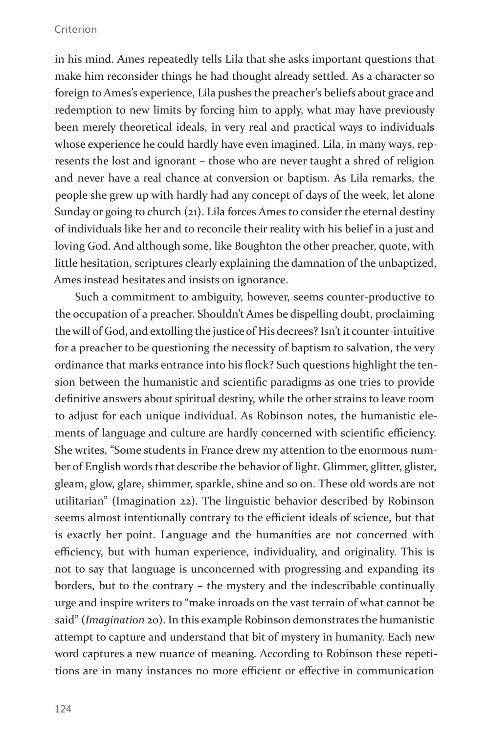#### Criterion

in his mind. Ames repeatedly tells Lila that she asks important questions that make him reconsider things he had thought already settled. As a character so foreign to Ames's experience, Lila pushes the preacher's beliefs about grace and redemption to new limits by forcing him to apply, what may have previously been merely theoretical ideals, in very real and practical ways to individuals whose experience he could hardly have even imagined. Lila, in many ways, represents the lost and ignorant – those who are never taught a shred of religion and never have a real chance at conversion or baptism. As Lila remarks, the people she grew up with hardly had any concept of days of the week, let alone Sunday or going to church (21). Lila forces Ames to consider the eternal destiny of individuals like her and to reconcile their reality with his belief in a just and loving God. And although some, like Boughton the other preacher, quote, with little hesitation, scriptures clearly explaining the damnation of the unbaptized, Ames instead hesitates and insists on ignorance.

Such a commitment to ambiguity, however, seems counter-productive to the occupation of a preacher. Shouldn't Ames be dispelling doubt, proclaiming the will of God, and extolling the justice of His decrees? Isn't it counter-intuitive for a preacher to be questioning the necessity of baptism to salvation, the very ordinance that marks entrance into his flock? Such questions highlight the tension between the humanistic and scientific paradigms as one tries to provide definitive answers about spiritual destiny, while the other strains to leave room to adjust for each unique individual. As Robinson notes, the humanistic elements of language and culture are hardly concerned with scientific efficiency. She writes, "Some students in France drew my attention to the enormous number of English words that describe the behavior of light. Glimmer, glitter, glister, gleam, glow, glare, shimmer, sparkle, shine and so on. These old words are not utilitarian" (Imagination 22). The linguistic behavior described by Robinson seems almost intentionally contrary to the efficient ideals of science, but that is exactly her point. Language and the humanities are not concerned with efficiency, but with human experience, individuality, and originality. This is not to say that language is unconcerned with progressing and expanding its borders, but to the contrary – the mystery and the indescribable continually urge and inspire writers to "make inroads on the vast terrain of what cannot be said" (*Imagination* 20). In this example Robinson demonstrates the humanistic attempt to capture and understand that bit of mystery in humanity. Each new word captures a new nuance of meaning. According to Robinson these repetitions are in many instances no more efficient or effective in communication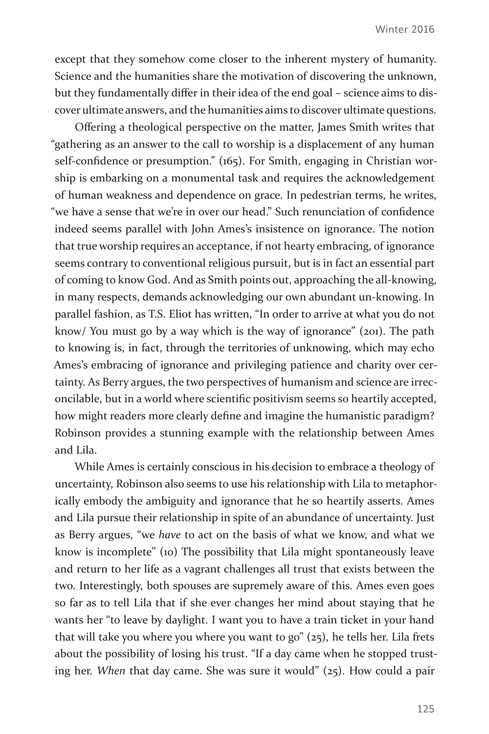except that they somehow come closer to the inherent mystery of humanity. Science and the humanities share the motivation of discovering the unknown, but they fundamentally differ in their idea of the end goal – science aims to discover ultimate answers, and the humanities aims to discover ultimate questions.

Offering a theological perspective on the matter, James Smith writes that "gathering as an answer to the call to worship is a displacement of any human self-confidence or presumption." (165). For Smith, engaging in Christian worship is embarking on a monumental task and requires the acknowledgement of human weakness and dependence on grace. In pedestrian terms, he writes, "we have a sense that we're in over our head." Such renunciation of confidence indeed seems parallel with John Ames's insistence on ignorance. The notion that true worship requires an acceptance, if not hearty embracing, of ignorance seems contrary to conventional religious pursuit, but is in fact an essential part of coming to know God. And as Smith points out, approaching the all-knowing, in many respects, demands acknowledging our own abundant un-knowing. In parallel fashion, as T.S. Eliot has written, "In order to arrive at what you do not know/ You must go by a way which is the way of ignorance" (201). The path to knowing is, in fact, through the territories of unknowing, which may echo Ames's embracing of ignorance and privileging patience and charity over certainty. As Berry argues, the two perspectives of humanism and science are irreconcilable, but in a world where scientific positivism seems so heartily accepted, how might readers more clearly define and imagine the humanistic paradigm? Robinson provides a stunning example with the relationship between Ames and Lila.

While Ames is certainly conscious in his decision to embrace a theology of uncertainty, Robinson also seems to use his relationship with Lila to metaphorically embody the ambiguity and ignorance that he so heartily asserts. Ames and Lila pursue their relationship in spite of an abundance of uncertainty. Just as Berry argues, "we *have* to act on the basis of what we know, and what we know is incomplete" (10) The possibility that Lila might spontaneously leave and return to her life as a vagrant challenges all trust that exists between the two. Interestingly, both spouses are supremely aware of this. Ames even goes so far as to tell Lila that if she ever changes her mind about staying that he wants her "to leave by daylight. I want you to have a train ticket in your hand that will take you where you where you want to go"  $(25)$ , he tells her. Lila frets about the possibility of losing his trust. "If a day came when he stopped trusting her. *When* that day came. She was sure it would" (25). How could a pair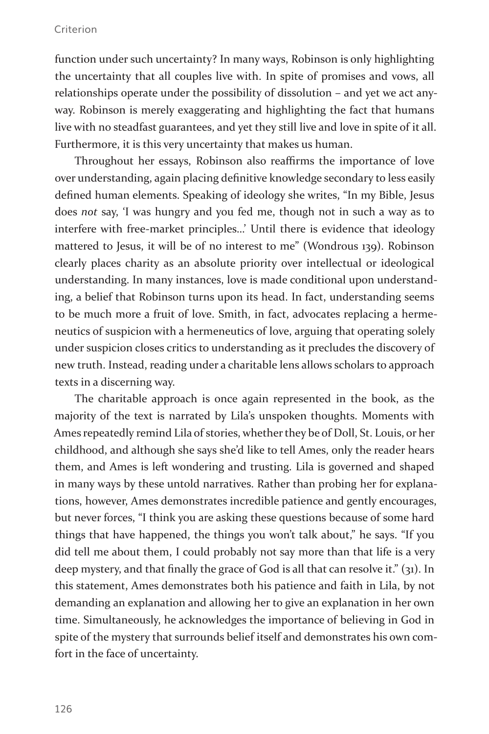#### Criterion

function under such uncertainty? In many ways, Robinson is only highlighting the uncertainty that all couples live with. In spite of promises and vows, all relationships operate under the possibility of dissolution – and yet we act anyway. Robinson is merely exaggerating and highlighting the fact that humans live with no steadfast guarantees, and yet they still live and love in spite of it all. Furthermore, it is this very uncertainty that makes us human.

Throughout her essays, Robinson also reaffirms the importance of love over understanding, again placing definitive knowledge secondary to less easily defined human elements. Speaking of ideology she writes, "In my Bible, Jesus does *not* say, 'I was hungry and you fed me, though not in such a way as to interfere with free-market principles…' Until there is evidence that ideology mattered to Jesus, it will be of no interest to me" (Wondrous 139). Robinson clearly places charity as an absolute priority over intellectual or ideological understanding. In many instances, love is made conditional upon understanding, a belief that Robinson turns upon its head. In fact, understanding seems to be much more a fruit of love. Smith, in fact, advocates replacing a hermeneutics of suspicion with a hermeneutics of love, arguing that operating solely under suspicion closes critics to understanding as it precludes the discovery of new truth. Instead, reading under a charitable lens allows scholars to approach texts in a discerning way.

The charitable approach is once again represented in the book, as the majority of the text is narrated by Lila's unspoken thoughts. Moments with Ames repeatedly remind Lila of stories, whether they be of Doll, St. Louis, or her childhood, and although she says she'd like to tell Ames, only the reader hears them, and Ames is left wondering and trusting. Lila is governed and shaped in many ways by these untold narratives. Rather than probing her for explanations, however, Ames demonstrates incredible patience and gently encourages, but never forces, "I think you are asking these questions because of some hard things that have happened, the things you won't talk about," he says. "If you did tell me about them, I could probably not say more than that life is a very deep mystery, and that finally the grace of God is all that can resolve it." (31). In this statement, Ames demonstrates both his patience and faith in Lila, by not demanding an explanation and allowing her to give an explanation in her own time. Simultaneously, he acknowledges the importance of believing in God in spite of the mystery that surrounds belief itself and demonstrates his own comfort in the face of uncertainty.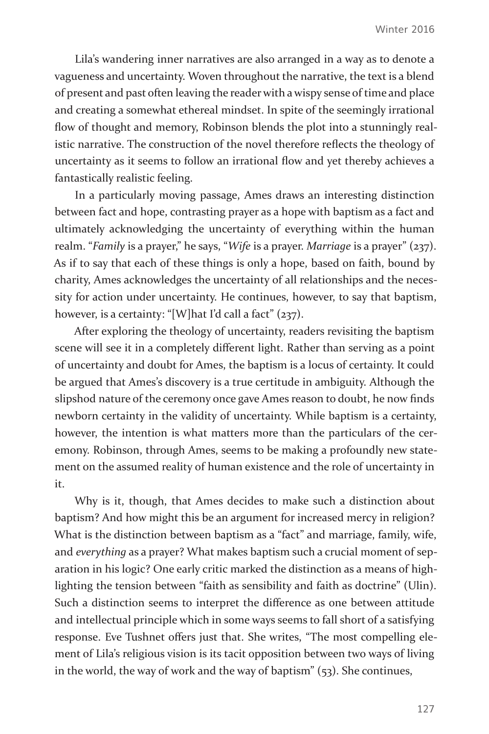Lila's wandering inner narratives are also arranged in a way as to denote a vagueness and uncertainty. Woven throughout the narrative, the text is a blend of present and past often leaving the reader with a wispy sense of time and place and creating a somewhat ethereal mindset. In spite of the seemingly irrational flow of thought and memory, Robinson blends the plot into a stunningly realistic narrative. The construction of the novel therefore reflects the theology of uncertainty as it seems to follow an irrational flow and yet thereby achieves a fantastically realistic feeling.

In a particularly moving passage, Ames draws an interesting distinction between fact and hope, contrasting prayer as a hope with baptism as a fact and ultimately acknowledging the uncertainty of everything within the human realm. "*Family* is a prayer," he says, "*Wife* is a prayer. *Marriage* is a prayer" (237). As if to say that each of these things is only a hope, based on faith, bound by charity, Ames acknowledges the uncertainty of all relationships and the necessity for action under uncertainty. He continues, however, to say that baptism, however, is a certainty: "[W]hat I'd call a fact" (237).

After exploring the theology of uncertainty, readers revisiting the baptism scene will see it in a completely different light. Rather than serving as a point of uncertainty and doubt for Ames, the baptism is a locus of certainty. It could be argued that Ames's discovery is a true certitude in ambiguity. Although the slipshod nature of the ceremony once gave Ames reason to doubt, he now finds newborn certainty in the validity of uncertainty. While baptism is a certainty, however, the intention is what matters more than the particulars of the ceremony. Robinson, through Ames, seems to be making a profoundly new statement on the assumed reality of human existence and the role of uncertainty in it.

Why is it, though, that Ames decides to make such a distinction about baptism? And how might this be an argument for increased mercy in religion? What is the distinction between baptism as a "fact" and marriage, family, wife, and *everything* as a prayer? What makes baptism such a crucial moment of separation in his logic? One early critic marked the distinction as a means of highlighting the tension between "faith as sensibility and faith as doctrine" (Ulin). Such a distinction seems to interpret the difference as one between attitude and intellectual principle which in some ways seems to fall short of a satisfying response. Eve Tushnet offers just that. She writes, "The most compelling element of Lila's religious vision is its tacit opposition between two ways of living in the world, the way of work and the way of baptism" (53). She continues,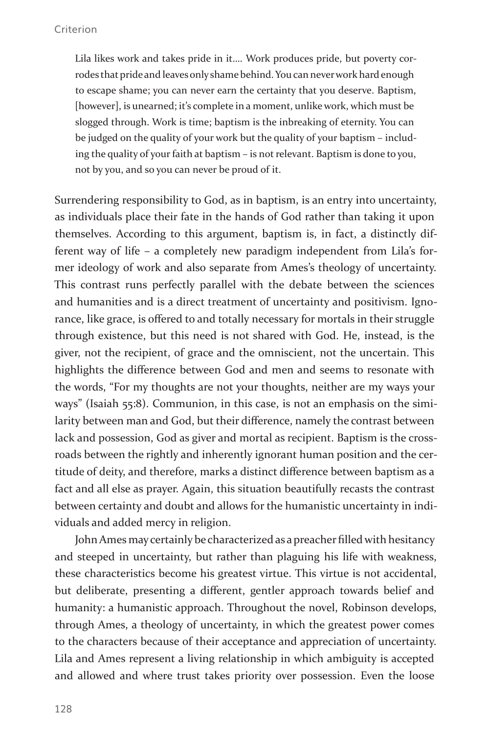Lila likes work and takes pride in it…. Work produces pride, but poverty corrodes that pride and leaves only shame behind. You can never work hard enough to escape shame; you can never earn the certainty that you deserve. Baptism, [however], is unearned; it's complete in a moment, unlike work, which must be slogged through. Work is time; baptism is the inbreaking of eternity. You can be judged on the quality of your work but the quality of your baptism – including the quality of your faith at baptism – is not relevant. Baptism is done to you, not by you, and so you can never be proud of it.

Surrendering responsibility to God, as in baptism, is an entry into uncertainty, as individuals place their fate in the hands of God rather than taking it upon themselves. According to this argument, baptism is, in fact, a distinctly different way of life – a completely new paradigm independent from Lila's former ideology of work and also separate from Ames's theology of uncertainty. This contrast runs perfectly parallel with the debate between the sciences and humanities and is a direct treatment of uncertainty and positivism. Ignorance, like grace, is offered to and totally necessary for mortals in their struggle through existence, but this need is not shared with God. He, instead, is the giver, not the recipient, of grace and the omniscient, not the uncertain. This highlights the difference between God and men and seems to resonate with the words, "For my thoughts are not your thoughts, neither are my ways your ways" (Isaiah 55:8). Communion, in this case, is not an emphasis on the similarity between man and God, but their difference, namely the contrast between lack and possession, God as giver and mortal as recipient. Baptism is the crossroads between the rightly and inherently ignorant human position and the certitude of deity, and therefore, marks a distinct difference between baptism as a fact and all else as prayer. Again, this situation beautifully recasts the contrast between certainty and doubt and allows for the humanistic uncertainty in individuals and added mercy in religion.

John Ames may certainly be characterized as a preacher filled with hesitancy and steeped in uncertainty, but rather than plaguing his life with weakness, these characteristics become his greatest virtue. This virtue is not accidental, but deliberate, presenting a different, gentler approach towards belief and humanity: a humanistic approach. Throughout the novel, Robinson develops, through Ames, a theology of uncertainty, in which the greatest power comes to the characters because of their acceptance and appreciation of uncertainty. Lila and Ames represent a living relationship in which ambiguity is accepted and allowed and where trust takes priority over possession. Even the loose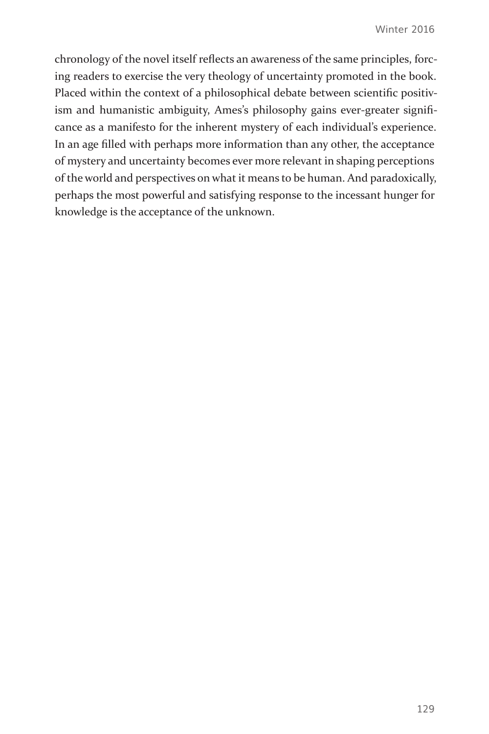chronology of the novel itself reflects an awareness of the same principles, forcing readers to exercise the very theology of uncertainty promoted in the book. Placed within the context of a philosophical debate between scientific positivism and humanistic ambiguity, Ames's philosophy gains ever-greater significance as a manifesto for the inherent mystery of each individual's experience. In an age filled with perhaps more information than any other, the acceptance of mystery and uncertainty becomes ever more relevant in shaping perceptions of the world and perspectives on what it means to be human. And paradoxically, perhaps the most powerful and satisfying response to the incessant hunger for knowledge is the acceptance of the unknown.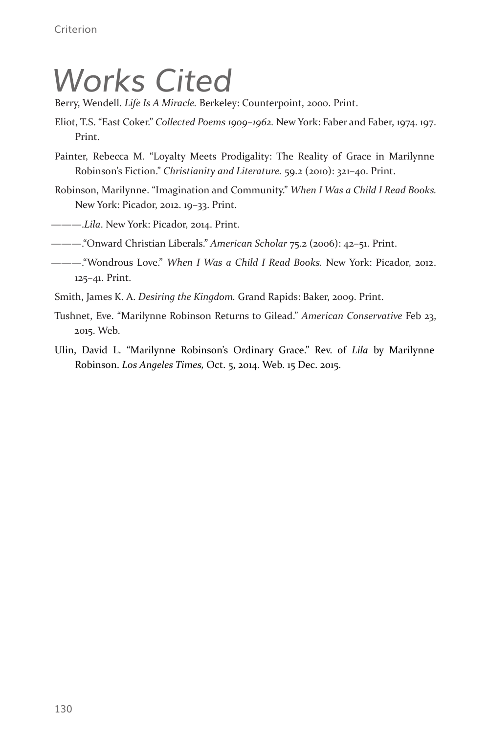## *Works Cited*

Berry, Wendell. *Life Is A Miracle.* Berkeley: Counterpoint, 2000. Print.

- Eliot, T.S. "East Coker." *Collected Poems 1909–1962.* New York: Faber and Faber, 1974. 197. Print.
- Painter, Rebecca M. "Loyalty Meets Prodigality: The Reality of Grace in Marilynne Robinson's Fiction." *Christianity and Literature.* 59.2 (2010): 321–40. Print.
- Robinson, Marilynne. "Imagination and Community." *When I Was a Child I Read Books.*  New York: Picador, 2012. 19–33. Print.

———.*Lila*. New York: Picador, 2014. Print.

———."Onward Christian Liberals." *American Scholar* 75.2 (2006): 42–51. Print.

- ———."Wondrous Love." *When I Was a Child I Read Books.* New York: Picador, 2012. 125–41. Print.
- Smith, James K. A. *Desiring the Kingdom.* Grand Rapids: Baker, 2009. Print.
- Tushnet, Eve. "Marilynne Robinson Returns to Gilead." *American Conservative* Feb 23, 2015. Web.
- Ulin, David L. "Marilynne Robinson's Ordinary Grace." Rev. of *Lila* by Marilynne Robinson. *Los Angeles Times,* Oct. 5, 2014. Web. 15 Dec. 2015.